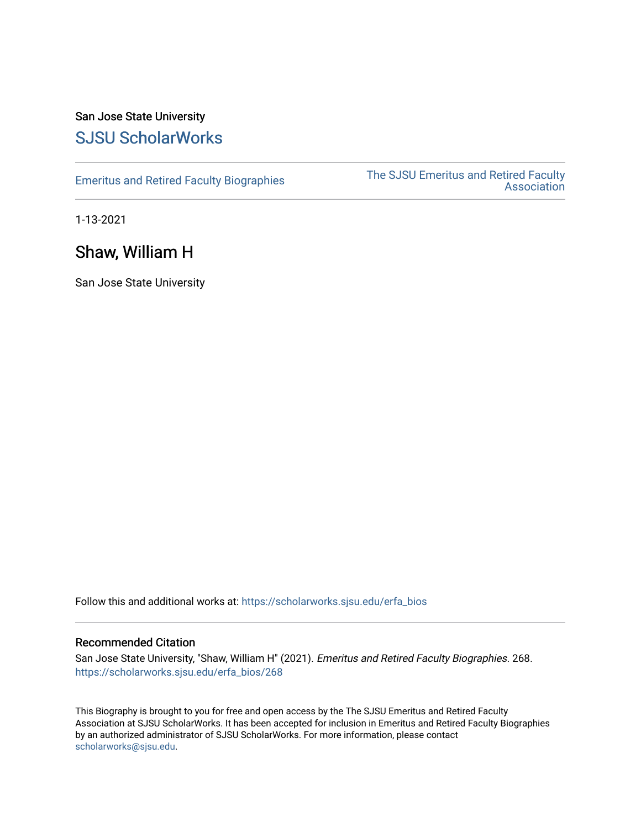# San Jose State University [SJSU ScholarWorks](https://scholarworks.sjsu.edu/)

[Emeritus and Retired Faculty Biographies](https://scholarworks.sjsu.edu/erfa_bios) The SJSU Emeritus and Retired Faculty **Association** 

1-13-2021

# Shaw, William H

San Jose State University

Follow this and additional works at: [https://scholarworks.sjsu.edu/erfa\\_bios](https://scholarworks.sjsu.edu/erfa_bios?utm_source=scholarworks.sjsu.edu%2Ferfa_bios%2F268&utm_medium=PDF&utm_campaign=PDFCoverPages)

#### Recommended Citation

San Jose State University, "Shaw, William H" (2021). Emeritus and Retired Faculty Biographies. 268. [https://scholarworks.sjsu.edu/erfa\\_bios/268](https://scholarworks.sjsu.edu/erfa_bios/268?utm_source=scholarworks.sjsu.edu%2Ferfa_bios%2F268&utm_medium=PDF&utm_campaign=PDFCoverPages)

This Biography is brought to you for free and open access by the The SJSU Emeritus and Retired Faculty Association at SJSU ScholarWorks. It has been accepted for inclusion in Emeritus and Retired Faculty Biographies by an authorized administrator of SJSU ScholarWorks. For more information, please contact [scholarworks@sjsu.edu](mailto:scholarworks@sjsu.edu).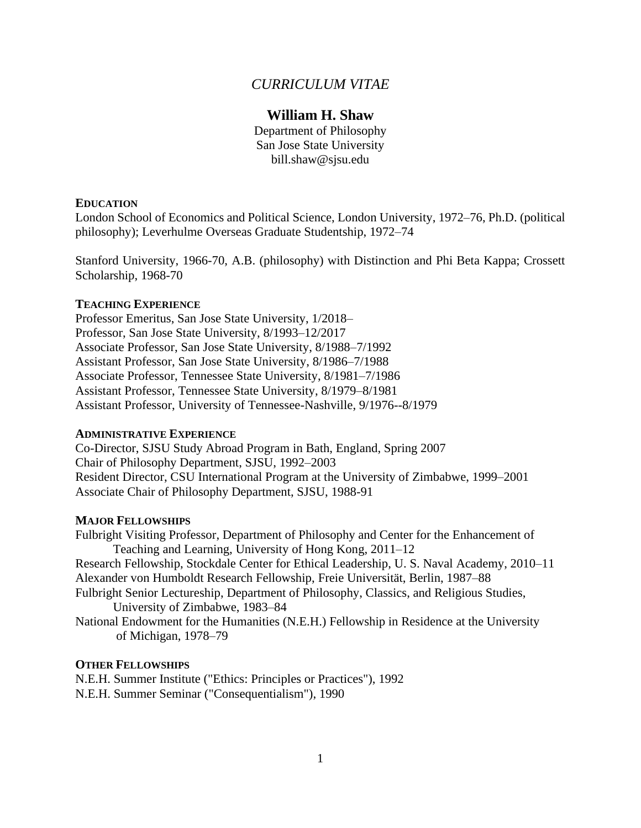# *CURRICULUM VITAE*

# **William H. Shaw**

Department of Philosophy San Jose State University bill.shaw@sjsu.edu

## **EDUCATION**

London School of Economics and Political Science, London University, 1972–76, Ph.D. (political philosophy); Leverhulme Overseas Graduate Studentship, 1972–74

Stanford University, 1966-70, A.B. (philosophy) with Distinction and Phi Beta Kappa; Crossett Scholarship, 1968-70

## **TEACHING EXPERIENCE**

Professor Emeritus, San Jose State University, 1/2018– Professor, San Jose State University, 8/1993–12/2017 Associate Professor, San Jose State University, 8/1988–7/1992 Assistant Professor, San Jose State University, 8/1986–7/1988 Associate Professor, Tennessee State University, 8/1981–7/1986 Assistant Professor, Tennessee State University, 8/1979–8/1981 Assistant Professor, University of Tennessee-Nashville, 9/1976--8/1979

#### **ADMINISTRATIVE EXPERIENCE**

Co-Director, SJSU Study Abroad Program in Bath, England, Spring 2007 Chair of Philosophy Department, SJSU, 1992–2003 Resident Director, CSU International Program at the University of Zimbabwe, 1999–2001 Associate Chair of Philosophy Department, SJSU, 1988-91

# **MAJOR FELLOWSHIPS**

Fulbright Visiting Professor, Department of Philosophy and Center for the Enhancement of Teaching and Learning, University of Hong Kong, 2011–12 Research Fellowship, Stockdale Center for Ethical Leadership, U. S. Naval Academy, 2010–11 Alexander von Humboldt Research Fellowship, Freie Universität, Berlin, 1987–88 Fulbright Senior Lectureship, Department of Philosophy, Classics, and Religious Studies, University of Zimbabwe, 1983–84 National Endowment for the Humanities (N.E.H.) Fellowship in Residence at the University

of Michigan, 1978–79

#### **OTHER FELLOWSHIPS**

N.E.H. Summer Institute ("Ethics: Principles or Practices"), 1992 N.E.H. Summer Seminar ("Consequentialism"), 1990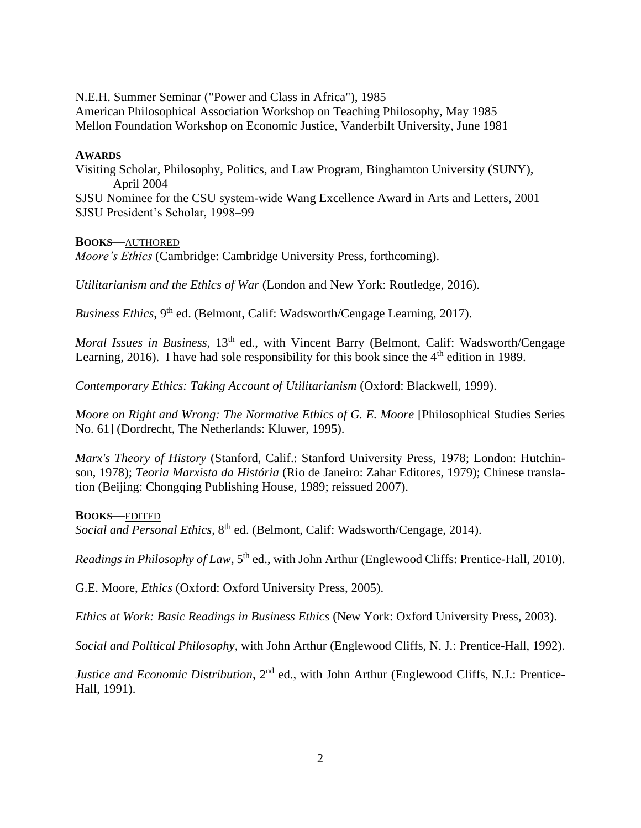N.E.H. Summer Seminar ("Power and Class in Africa"), 1985 American Philosophical Association Workshop on Teaching Philosophy, May 1985 Mellon Foundation Workshop on Economic Justice, Vanderbilt University, June 1981

#### **AWARDS**

Visiting Scholar, Philosophy, Politics, and Law Program, Binghamton University (SUNY), April 2004

SJSU Nominee for the CSU system-wide Wang Excellence Award in Arts and Letters, 2001 SJSU President's Scholar, 1998–99

#### **BOOKS**—AUTHORED

*Moore's Ethics* (Cambridge: Cambridge University Press, forthcoming).

*Utilitarianism and the Ethics of War* (London and New York: Routledge, 2016).

*Business Ethics*, 9<sup>th</sup> ed. (Belmont, Calif: Wadsworth/Cengage Learning, 2017).

*Moral Issues in Business*, 13<sup>th</sup> ed., with Vincent Barry (Belmont, Calif: Wadsworth/Cengage Learning, 2016). I have had sole responsibility for this book since the 4<sup>th</sup> edition in 1989.

*Contemporary Ethics: Taking Account of Utilitarianism* (Oxford: Blackwell, 1999).

*Moore on Right and Wrong: The Normative Ethics of G. E. Moore* [Philosophical Studies Series No. 61] (Dordrecht, The Netherlands: Kluwer, 1995).

*Marx's Theory of History* (Stanford, Calif.: Stanford University Press, 1978; London: Hutchinson, 1978); *Teoria Marxista da História* (Rio de Janeiro: Zahar Editores, 1979); Chinese translation (Beijing: Chongqing Publishing House, 1989; reissued 2007).

#### **BOOKS**—EDITED

*Social and Personal Ethics*, 8<sup>th</sup> ed. (Belmont, Calif: Wadsworth/Cengage, 2014).

*Readings in Philosophy of Law*, 5<sup>th</sup> ed., with John Arthur (Englewood Cliffs: Prentice-Hall, 2010).

G.E. Moore, *Ethics* (Oxford: Oxford University Press, 2005).

*Ethics at Work: Basic Readings in Business Ethics* (New York: Oxford University Press, 2003).

*Social and Political Philosophy*, with John Arthur (Englewood Cliffs, N. J.: Prentice-Hall, 1992).

*Justice and Economic Distribution*, 2<sup>nd</sup> ed., with John Arthur (Englewood Cliffs, N.J.: Prentice-Hall, 1991).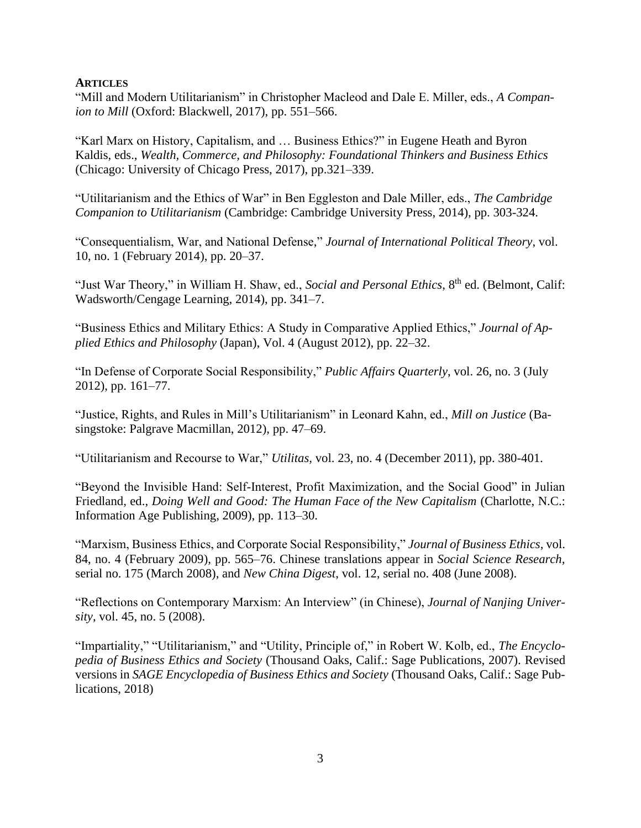### **ARTICLES**

"Mill and Modern Utilitarianism" in Christopher Macleod and Dale E. Miller, eds., *A Companion to Mill* (Oxford: Blackwell, 2017), pp. 551–566.

"Karl Marx on History, Capitalism, and … Business Ethics?" in Eugene Heath and Byron Kaldis, eds., *Wealth, Commerce, and Philosophy: Foundational Thinkers and Business Ethics* (Chicago: University of Chicago Press, 2017), pp.321–339.

"Utilitarianism and the Ethics of War" in Ben Eggleston and Dale Miller, eds., *The Cambridge Companion to Utilitarianism* (Cambridge: Cambridge University Press, 2014), pp. 303-324.

"Consequentialism, War, and National Defense," *Journal of International Political Theory*, vol. 10, no. 1 (February 2014), pp. 20–37.

"Just War Theory," in William H. Shaw, ed., *Social and Personal Ethics*, 8<sup>th</sup> ed. (Belmont, Calif: Wadsworth/Cengage Learning, 2014), pp. 341–7.

"Business Ethics and Military Ethics: A Study in Comparative Applied Ethics," *Journal of Applied Ethics and Philosophy* (Japan), Vol. 4 (August 2012), pp. 22–32.

"In Defense of Corporate Social Responsibility," *Public Affairs Quarterly*, vol. 26, no. 3 (July 2012), pp. 161–77.

"Justice, Rights, and Rules in Mill's Utilitarianism" in Leonard Kahn, ed., *Mill on Justice* (Basingstoke: Palgrave Macmillan, 2012), pp. 47–69.

"Utilitarianism and Recourse to War," *Utilitas,* vol. 23, no. 4 (December 2011), pp. 380-401.

"Beyond the Invisible Hand: Self-Interest, Profit Maximization, and the Social Good" in Julian Friedland, ed., *Doing Well and Good: The Human Face of the New Capitalism* (Charlotte, N.C.: Information Age Publishing, 2009), pp. 113–30.

"Marxism, Business Ethics, and Corporate Social Responsibility," *Journal of Business Ethics*, vol. 84, no. 4 (February 2009), pp. 565–76. Chinese translations appear in *Social Science Research,*  serial no. 175 (March 2008), and *New China Digest*, vol. 12, serial no. 408 (June 2008).

"Reflections on Contemporary Marxism: An Interview" (in Chinese), *Journal of Nanjing University*, vol. 45, no. 5 (2008).

"Impartiality," "Utilitarianism," and "Utility, Principle of," in Robert W. Kolb, ed., *The Encyclopedia of Business Ethics and Society* (Thousand Oaks, Calif.: Sage Publications, 2007). Revised versions in *SAGE Encyclopedia of Business Ethics and Society* (Thousand Oaks, Calif.: Sage Publications, 2018)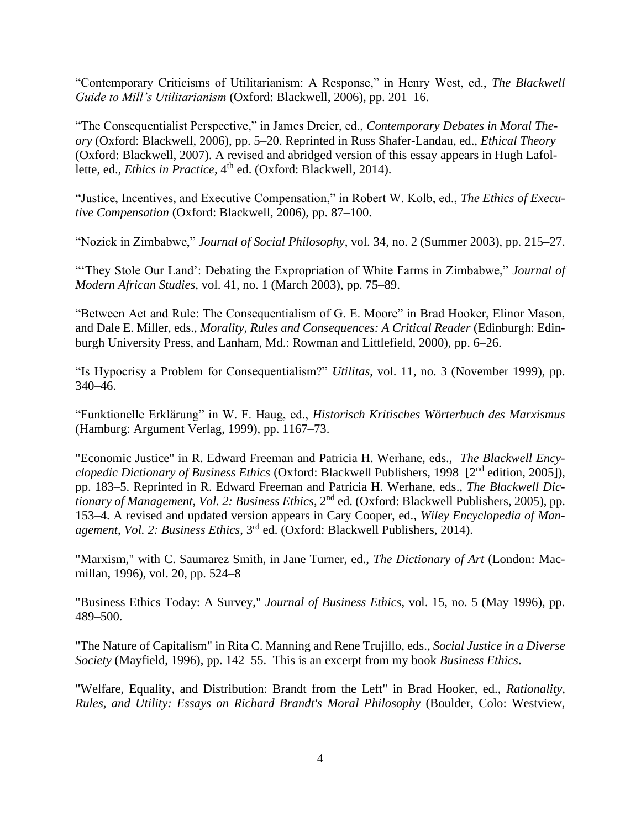"Contemporary Criticisms of Utilitarianism: A Response," in Henry West, ed., *The Blackwell Guide to Mill's Utilitarianism* (Oxford: Blackwell, 2006), pp. 201–16.

"The Consequentialist Perspective," in James Dreier, ed., *Contemporary Debates in Moral Theory* (Oxford: Blackwell, 2006), pp. 5–20. Reprinted in Russ Shafer-Landau, ed., *Ethical Theory* (Oxford: Blackwell, 2007). A revised and abridged version of this essay appears in Hugh Lafollette, ed., *Ethics in Practice*, 4<sup>th</sup> ed. (Oxford: Blackwell, 2014).

"Justice, Incentives, and Executive Compensation," in Robert W. Kolb, ed., *The Ethics of Executive Compensation* (Oxford: Blackwell, 2006), pp. 87–100.

"Nozick in Zimbabwe," *Journal of Social Philosophy*, vol. 34, no. 2 (Summer 2003), pp. 215**–**27.

"'They Stole Our Land': Debating the Expropriation of White Farms in Zimbabwe," *Journal of Modern African Studies*, vol. 41, no. 1 (March 2003), pp. 75–89.

"Between Act and Rule: The Consequentialism of G. E. Moore" in Brad Hooker, Elinor Mason, and Dale E. Miller, eds., *Morality, Rules and Consequences: A Critical Reader* (Edinburgh: Edinburgh University Press, and Lanham, Md.: Rowman and Littlefield, 2000), pp. 6–26.

"Is Hypocrisy a Problem for Consequentialism?" *Utilitas*, vol. 11, no. 3 (November 1999), pp. 340–46.

"Funktionelle Erklärung" in W. F. Haug, ed., *Historisch Kritisches Wörterbuch des Marxismus* (Hamburg: Argument Verlag, 1999), pp. 1167–73.

"Economic Justice" in R. Edward Freeman and Patricia H. Werhane, eds., *The Blackwell Encyclopedic Dictionary of Business Ethics* (Oxford: Blackwell Publishers, 1998 [2<sup>nd</sup> edition, 2005]). pp. 183–5. Reprinted in R. Edward Freeman and Patricia H. Werhane, eds., *The Blackwell Dictionary of Management, Vol. 2: Business Ethics*, 2nd ed. (Oxford: Blackwell Publishers, 2005), pp. 153–4. A revised and updated version appears in Cary Cooper, ed., *Wiley Encyclopedia of Management*, *Vol. 2: Business Ethics*, 3rd ed. (Oxford: Blackwell Publishers, 2014).

"Marxism," with C. Saumarez Smith, in Jane Turner, ed., *The Dictionary of Art* (London: Macmillan, 1996), vol. 20, pp. 524–8

"Business Ethics Today: A Survey," *Journal of Business Ethics*, vol. 15, no. 5 (May 1996), pp. 489–500.

"The Nature of Capitalism" in Rita C. Manning and Rene Trujillo, eds., *Social Justice in a Diverse Society* (Mayfield, 1996), pp. 142–55. This is an excerpt from my book *Business Ethics*.

"Welfare, Equality, and Distribution: Brandt from the Left" in Brad Hooker, ed., *Rationality, Rules, and Utility: Essays on Richard Brandt's Moral Philosophy* (Boulder, Colo: Westview,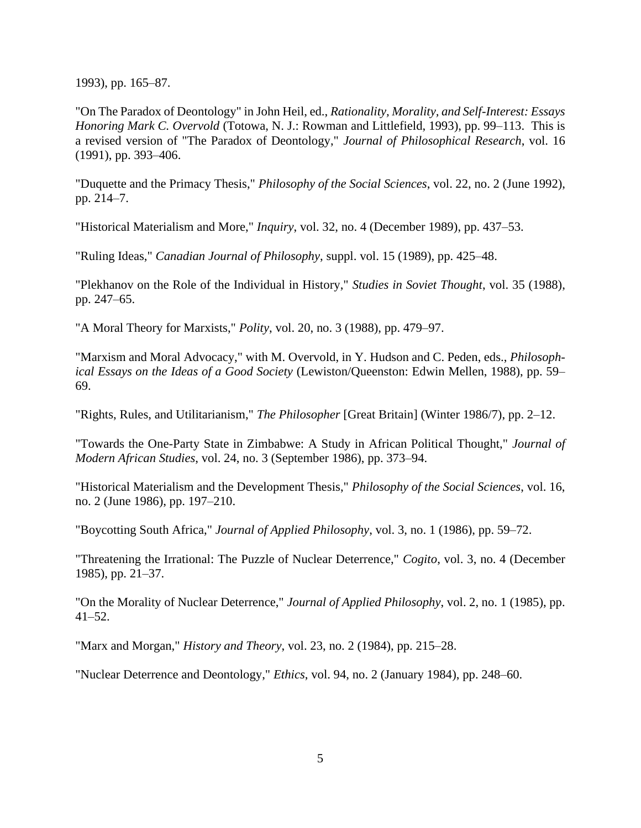1993), pp. 165–87.

"On The Paradox of Deontology" in John Heil, ed., *Rationality, Morality, and Self-Interest: Essays Honoring Mark C. Overvold* (Totowa, N. J.: Rowman and Littlefield, 1993), pp. 99–113. This is a revised version of "The Paradox of Deontology," *Journal of Philosophical Research*, vol. 16 (1991), pp. 393–406.

"Duquette and the Primacy Thesis," *Philosophy of the Social Sciences*, vol. 22, no. 2 (June 1992), pp. 214–7.

"Historical Materialism and More," *Inquiry*, vol. 32, no. 4 (December 1989), pp. 437–53.

"Ruling Ideas," *Canadian Journal of Philosophy*, suppl. vol. 15 (1989), pp. 425–48.

"Plekhanov on the Role of the Individual in History," *Studies in Soviet Thought*, vol. 35 (1988), pp. 247–65.

"A Moral Theory for Marxists," *Polity*, vol. 20, no. 3 (1988), pp. 479–97.

"Marxism and Moral Advocacy," with M. Overvold, in Y. Hudson and C. Peden, eds., *Philosophical Essays on the Ideas of a Good Society* (Lewiston/Queenston: Edwin Mellen, 1988), pp. 59– 69.

"Rights, Rules, and Utilitarianism," *The Philosopher* [Great Britain] (Winter 1986/7), pp. 2–12.

"Towards the One-Party State in Zimbabwe: A Study in African Political Thought," *Journal of Modern African Studies*, vol. 24, no. 3 (September 1986), pp. 373–94.

"Historical Materialism and the Development Thesis," *Philosophy of the Social Sciences*, vol. 16, no. 2 (June 1986), pp. 197–210.

"Boycotting South Africa," *Journal of Applied Philosophy*, vol. 3, no. 1 (1986), pp. 59–72.

"Threatening the Irrational: The Puzzle of Nuclear Deterrence," *Cogito*, vol. 3, no. 4 (December 1985), pp. 21–37.

"On the Morality of Nuclear Deterrence," *Journal of Applied Philosophy*, vol. 2, no. 1 (1985), pp. 41–52.

"Marx and Morgan," *History and Theory*, vol. 23, no. 2 (1984), pp. 215–28.

"Nuclear Deterrence and Deontology," *Ethics*, vol. 94, no. 2 (January 1984), pp. 248–60.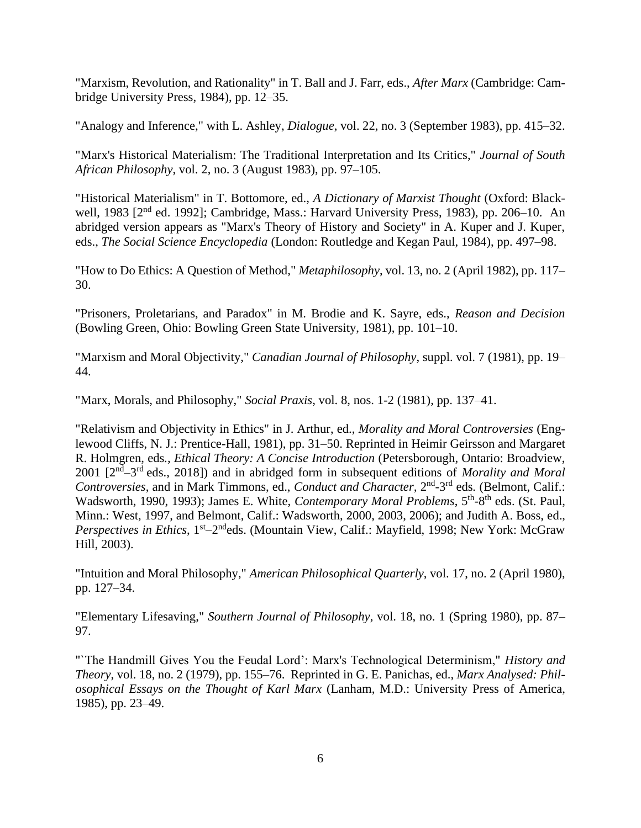"Marxism, Revolution, and Rationality" in T. Ball and J. Farr, eds., *After Marx* (Cambridge: Cambridge University Press, 1984), pp. 12–35.

"Analogy and Inference," with L. Ashley, *Dialogue*, vol. 22, no. 3 (September 1983), pp. 415–32.

"Marx's Historical Materialism: The Traditional Interpretation and Its Critics," *Journal of South African Philosophy*, vol. 2, no. 3 (August 1983), pp. 97–105.

"Historical Materialism" in T. Bottomore, ed., *A Dictionary of Marxist Thought* (Oxford: Blackwell, 1983 [2<sup>nd</sup> ed. 1992]; Cambridge, Mass.: Harvard University Press, 1983), pp. 206–10. An abridged version appears as "Marx's Theory of History and Society" in A. Kuper and J. Kuper, eds., *The Social Science Encyclopedia* (London: Routledge and Kegan Paul, 1984), pp. 497–98.

"How to Do Ethics: A Question of Method," *Metaphilosophy*, vol. 13, no. 2 (April 1982), pp. 117– 30.

"Prisoners, Proletarians, and Paradox" in M. Brodie and K. Sayre, eds., *Reason and Decision* (Bowling Green, Ohio: Bowling Green State University, 1981), pp. 101–10.

"Marxism and Moral Objectivity," *Canadian Journal of Philosophy*, suppl. vol. 7 (1981), pp. 19– 44.

"Marx, Morals, and Philosophy," *Social Praxis*, vol. 8, nos. 1-2 (1981), pp. 137–41.

"Relativism and Objectivity in Ethics" in J. Arthur, ed., *Morality and Moral Controversies* (Englewood Cliffs, N. J.: Prentice-Hall, 1981), pp. 31–50. Reprinted in Heimir Geirsson and Margaret R. Holmgren, eds*., Ethical Theory: A Concise Introduction* (Petersborough, Ontario: Broadview, 2001 [2nd –3 rd eds., 2018]) and in abridged form in subsequent editions of *Morality and Moral*  Controversies, and in Mark Timmons, ed., *Conduct and Character*, 2<sup>nd</sup>-3<sup>rd</sup> eds. (Belmont, Calif.: Wadsworth, 1990, 1993); James E. White, *Contemporary Moral Problems*, 5<sup>th</sup>-8<sup>th</sup> eds. (St. Paul, Minn.: West, 1997, and Belmont, Calif.: Wadsworth, 2000, 2003, 2006); and Judith A. Boss, ed., Perspectives in Ethics, 1<sup>st</sup>-2<sup>nd</sup>eds. (Mountain View, Calif.: Mayfield, 1998; New York: McGraw Hill, 2003).

"Intuition and Moral Philosophy," *American Philosophical Quarterly*, vol. 17, no. 2 (April 1980), pp. 127–34.

"Elementary Lifesaving," *Southern Journal of Philosophy*, vol. 18, no. 1 (Spring 1980), pp. 87– 97.

"`The Handmill Gives You the Feudal Lord': Marx's Technological Determinism," *History and Theory*, vol. 18, no. 2 (1979), pp. 155–76. Reprinted in G. E. Panichas, ed., *Marx Analysed: Philosophical Essays on the Thought of Karl Marx* (Lanham, M.D.: University Press of America, 1985), pp. 23–49.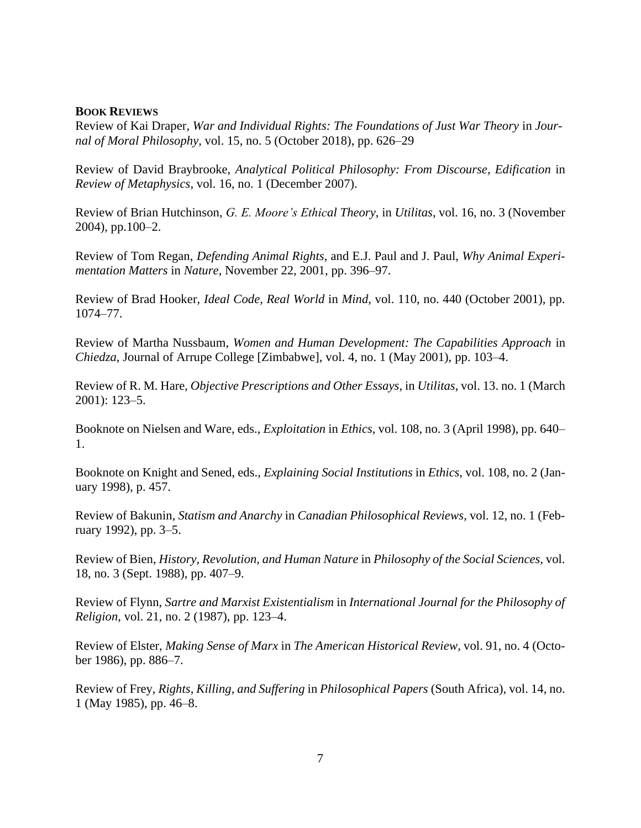#### **BOOK REVIEWS**

Review of Kai Draper, *War and Individual Rights: The Foundations of Just War Theory* in *Journal of Moral Philosophy*, vol. 15, no. 5 (October 2018), pp. 626–29

Review of David Braybrooke, *Analytical Political Philosophy: From Discourse, Edification* in *Review of Metaphysics*, vol. 16, no. 1 (December 2007).

Review of Brian Hutchinson, *G. E. Moore's Ethical Theory*, in *Utilitas*, vol. 16, no. 3 (November 2004), pp.100–2.

Review of Tom Regan, *Defending Animal Rights*, and E.J. Paul and J. Paul, *Why Animal Experimentation Matters* in *Nature*, November 22, 2001, pp. 396–97.

Review of Brad Hooker, *Ideal Code, Real World* in *Mind*, vol. 110, no. 440 (October 2001), pp. 1074–77.

Review of Martha Nussbaum, *Women and Human Development: The Capabilities Approach* in *Chiedza*, Journal of Arrupe College [Zimbabwe], vol. 4, no. 1 (May 2001), pp. 103–4.

Review of R. M. Hare, *Objective Prescriptions and Other Essays*, in *Utilitas*, vol. 13. no. 1 (March 2001): 123–5.

Booknote on Nielsen and Ware, eds., *Exploitation* in *Ethics*, vol. 108, no. 3 (April 1998), pp. 640– 1.

Booknote on Knight and Sened, eds., *Explaining Social Institutions* in *Ethics*, vol. 108, no. 2 (January 1998), p. 457.

Review of Bakunin, *Statism and Anarchy* in *Canadian Philosophical Reviews*, vol. 12, no. 1 (February 1992), pp. 3–5.

Review of Bien, *History, Revolution, and Human Nature* in *Philosophy of the Social Sciences*, vol. 18, no. 3 (Sept. 1988), pp. 407–9.

Review of Flynn, *Sartre and Marxist Existentialism* in *International Journal for the Philosophy of Religion*, vol. 21, no. 2 (1987), pp. 123–4.

Review of Elster, *Making Sense of Marx* in *The American Historical Review*, vol. 91, no. 4 (October 1986), pp. 886–7.

Review of Frey, *Rights, Killing, and Suffering* in *Philosophical Papers* (South Africa), vol. 14, no. 1 (May 1985), pp. 46–8.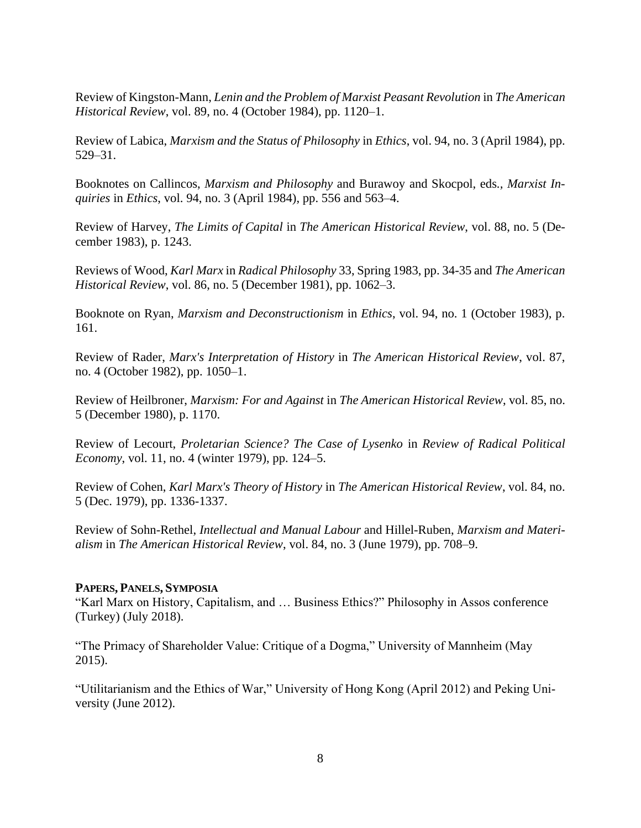Review of Kingston-Mann, *Lenin and the Problem of Marxist Peasant Revolution* in *The American Historical Review*, vol. 89, no. 4 (October 1984), pp. 1120–1.

Review of Labica, *Marxism and the Status of Philosophy* in *Ethics*, vol. 94, no. 3 (April 1984), pp. 529–31.

Booknotes on Callincos, *Marxism and Philosophy* and Burawoy and Skocpol, eds*., Marxist Inquiries* in *Ethics*, vol. 94, no. 3 (April 1984), pp. 556 and 563–4.

Review of Harvey, *The Limits of Capital* in *The American Historical Review*, vol. 88, no. 5 (December 1983), p. 1243.

Reviews of Wood, *Karl Marx* in *Radical Philosophy* 33, Spring 1983, pp. 34-35 and *The American Historical Review*, vol. 86, no. 5 (December 1981), pp. 1062–3.

Booknote on Ryan, *Marxism and Deconstructionism* in *Ethics*, vol. 94, no. 1 (October 1983), p. 161.

Review of Rader, *Marx's Interpretation of History* in *The American Historical Review*, vol. 87, no. 4 (October 1982), pp. 1050–1.

Review of Heilbroner, *Marxism: For and Against* in *The American Historical Review*, vol. 85, no. 5 (December 1980), p. 1170.

Review of Lecourt, *Proletarian Science? The Case of Lysenko* in *Review of Radical Political Economy*, vol. 11, no. 4 (winter 1979), pp. 124–5.

Review of Cohen, *Karl Marx's Theory of History* in *The American Historical Review*, vol. 84, no. 5 (Dec. 1979), pp. 1336-1337.

Review of Sohn-Rethel, *Intellectual and Manual Labour* and Hillel-Ruben, *Marxism and Materialism* in *The American Historical Review*, vol. 84, no. 3 (June 1979), pp. 708–9.

#### **PAPERS, PANELS, SYMPOSIA**

"Karl Marx on History, Capitalism, and … Business Ethics?" Philosophy in Assos conference (Turkey) (July 2018).

"The Primacy of Shareholder Value: Critique of a Dogma," University of Mannheim (May 2015).

"Utilitarianism and the Ethics of War," University of Hong Kong (April 2012) and Peking University (June 2012).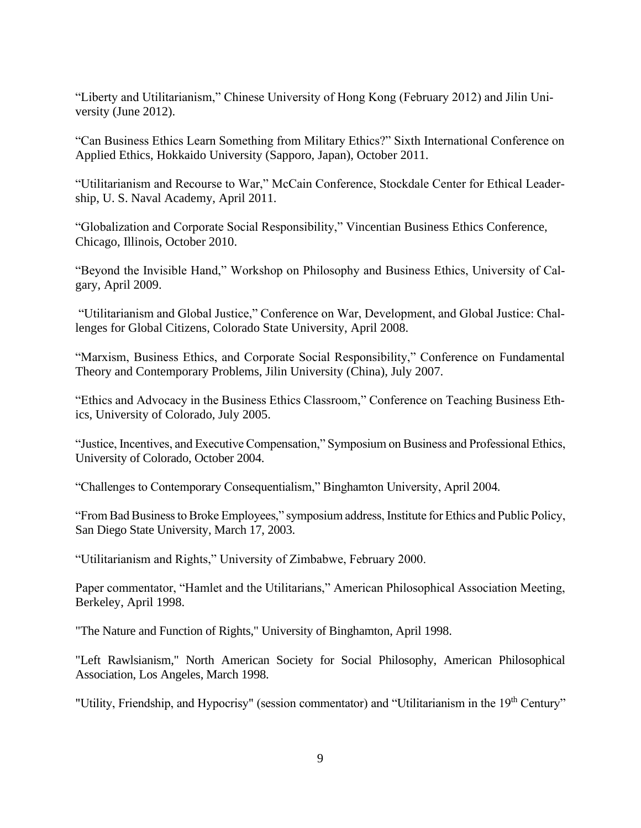"Liberty and Utilitarianism," Chinese University of Hong Kong (February 2012) and Jilin University (June 2012).

"Can Business Ethics Learn Something from Military Ethics?" Sixth International Conference on Applied Ethics, Hokkaido University (Sapporo, Japan), October 2011.

"Utilitarianism and Recourse to War," McCain Conference, Stockdale Center for Ethical Leadership, U. S. Naval Academy, April 2011.

"Globalization and Corporate Social Responsibility," Vincentian Business Ethics Conference, Chicago, Illinois, October 2010.

"Beyond the Invisible Hand," Workshop on Philosophy and Business Ethics, University of Calgary, April 2009.

"Utilitarianism and Global Justice," Conference on War, Development, and Global Justice: Challenges for Global Citizens, Colorado State University, April 2008.

"Marxism, Business Ethics, and Corporate Social Responsibility," Conference on Fundamental Theory and Contemporary Problems, Jilin University (China), July 2007.

"Ethics and Advocacy in the Business Ethics Classroom," Conference on Teaching Business Ethics, University of Colorado, July 2005.

"Justice, Incentives, and Executive Compensation," Symposium on Business and Professional Ethics, University of Colorado, October 2004.

"Challenges to Contemporary Consequentialism," Binghamton University, April 2004.

"From Bad Business to Broke Employees," symposium address, Institute for Ethics and Public Policy, San Diego State University, March 17, 2003.

"Utilitarianism and Rights," University of Zimbabwe, February 2000.

Paper commentator, "Hamlet and the Utilitarians," American Philosophical Association Meeting, Berkeley, April 1998.

"The Nature and Function of Rights," University of Binghamton, April 1998.

"Left Rawlsianism," North American Society for Social Philosophy, American Philosophical Association, Los Angeles, March 1998.

"Utility, Friendship, and Hypocrisy" (session commentator) and "Utilitarianism in the 19<sup>th</sup> Century"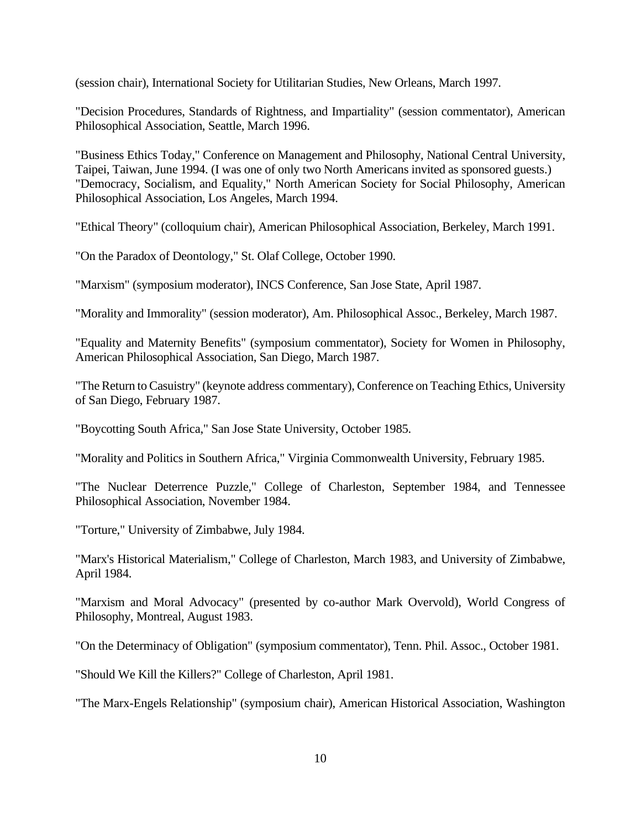(session chair), International Society for Utilitarian Studies, New Orleans, March 1997.

"Decision Procedures, Standards of Rightness, and Impartiality" (session commentator), American Philosophical Association, Seattle, March 1996.

"Business Ethics Today," Conference on Management and Philosophy, National Central University, Taipei, Taiwan, June 1994. (I was one of only two North Americans invited as sponsored guests.) "Democracy, Socialism, and Equality," North American Society for Social Philosophy, American Philosophical Association, Los Angeles, March 1994.

"Ethical Theory" (colloquium chair), American Philosophical Association, Berkeley, March 1991.

"On the Paradox of Deontology," St. Olaf College, October 1990.

"Marxism" (symposium moderator), INCS Conference, San Jose State, April 1987.

"Morality and Immorality" (session moderator), Am. Philosophical Assoc., Berkeley, March 1987.

"Equality and Maternity Benefits" (symposium commentator), Society for Women in Philosophy, American Philosophical Association, San Diego, March 1987.

"The Return to Casuistry" (keynote address commentary), Conference on Teaching Ethics, University of San Diego, February 1987.

"Boycotting South Africa," San Jose State University, October 1985.

"Morality and Politics in Southern Africa," Virginia Commonwealth University, February 1985.

"The Nuclear Deterrence Puzzle," College of Charleston, September 1984, and Tennessee Philosophical Association, November 1984.

"Torture," University of Zimbabwe, July 1984.

"Marx's Historical Materialism," College of Charleston, March 1983, and University of Zimbabwe, April 1984.

"Marxism and Moral Advocacy" (presented by co-author Mark Overvold), World Congress of Philosophy, Montreal, August 1983.

"On the Determinacy of Obligation" (symposium commentator), Tenn. Phil. Assoc., October 1981.

"Should We Kill the Killers?" College of Charleston, April 1981.

"The Marx-Engels Relationship" (symposium chair), American Historical Association, Washington